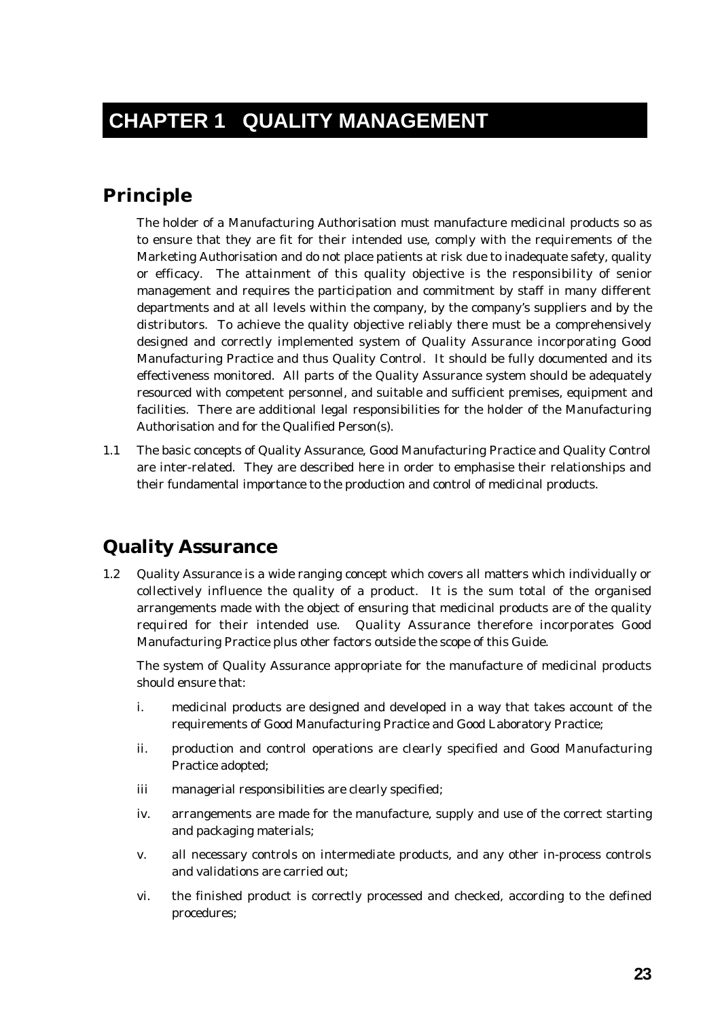# **CHAPTER 1 QUALITY MANAGEMENT**

#### **Principle**

The holder of a Manufacturing Authorisation must manufacture medicinal products so as to ensure that they are fit for their intended use, comply with the requirements of the Marketing Authorisation and do not place patients at risk due to inadequate safety, quality or efficacy. The attainment of this quality objective is the responsibility of senior management and requires the participation and commitment by staff in many different departments and at all levels within the company, by the company's suppliers and by the distributors. To achieve the quality objective reliably there must be a comprehensively designed and correctly implemented system of Quality Assurance incorporating Good Manufacturing Practice and thus Quality Control. It should be fully documented and its effectiveness monitored. All parts of the Quality Assurance system should be adequately resourced with competent personnel, and suitable and sufficient premises, equipment and facilities. There are additional legal responsibilities for the holder of the Manufacturing Authorisation and for the Qualified Person(s).

1.1 The basic concepts of Quality Assurance, Good Manufacturing Practice and Quality Control are inter-related. They are described here in order to emphasise their relationships and their fundamental importance to the production and control of medicinal products.

### **Quality Assurance**

1.2 Quality Assurance is a wide ranging concept which covers all matters which individually or collectively influence the quality of a product. It is the sum total of the organised arrangements made with the object of ensuring that medicinal products are of the quality required for their intended use. Quality Assurance therefore incorporates Good Manufacturing Practice plus other factors outside the scope of this Guide.

The system of Quality Assurance appropriate for the manufacture of medicinal products should ensure that:

- i. medicinal products are designed and developed in a way that takes account of the requirements of Good Manufacturing Practice and Good Laboratory Practice;
- ii. production and control operations are clearly specified and Good Manufacturing Practice adopted;
- iii managerial responsibilities are clearly specified;
- iv. arrangements are made for the manufacture, supply and use of the correct starting and packaging materials;
- v. all necessary controls on intermediate products, and any other in-process controls and validations are carried out;
- vi. the finished product is correctly processed and checked, according to the defined procedures;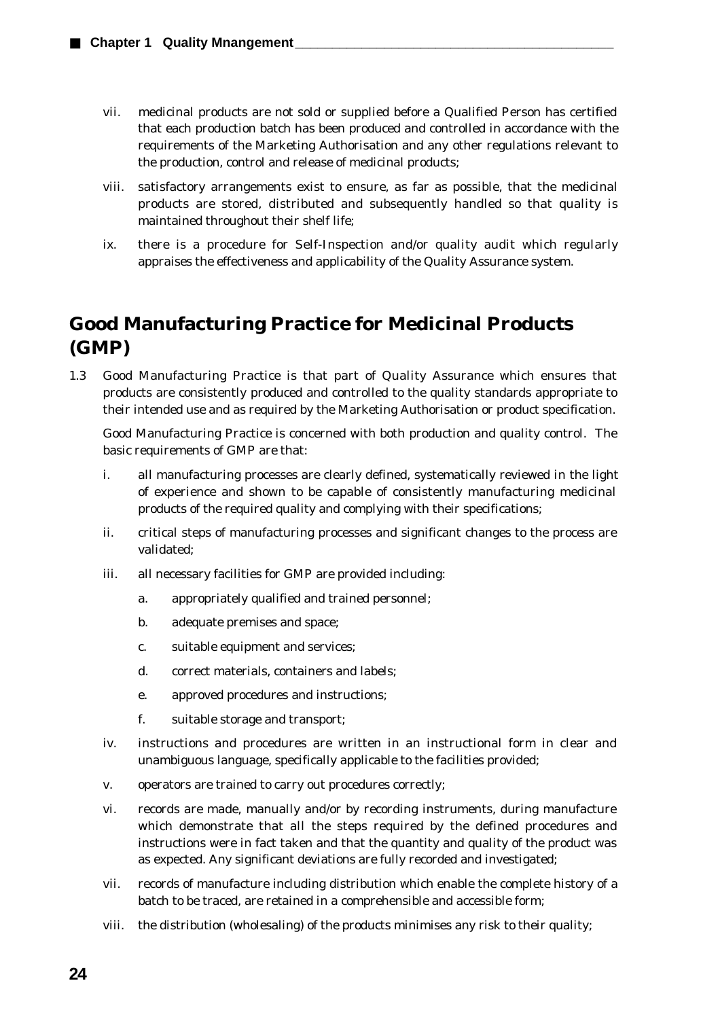- vii. medicinal products are not sold or supplied before a Qualified Person has certified that each production batch has been produced and controlled in accordance with the requirements of the Marketing Authorisation and any other regulations relevant to the production, control and release of medicinal products;
- viii. satisfactory arrangements exist to ensure, as far as possible, that the medicinal products are stored, distributed and subsequently handled so that quality is maintained throughout their shelf life;
- ix. there is a procedure for Self-Inspection and/or quality audit which regularly appraises the effectiveness and applicability of the Quality Assurance system.

## **Good Manufacturing Practice for Medicinal Products (GMP)**

1.3 Good Manufacturing Practice is that part of Quality Assurance which ensures that products are consistently produced and controlled to the quality standards appropriate to their intended use and as required by the Marketing Authorisation or product specification.

Good Manufacturing Practice is concerned with both production and quality control. The basic requirements of GMP are that:

- i. all manufacturing processes are clearly defined, systematically reviewed in the light of experience and shown to be capable of consistently manufacturing medicinal products of the required quality and complying with their specifications;
- ii. critical steps of manufacturing processes and significant changes to the process are validated;
- iii. all necessary facilities for GMP are provided including:
	- a. appropriately qualified and trained personnel;
	- b. adequate premises and space;
	- c. suitable equipment and services;
	- d. correct materials, containers and labels;
	- e. approved procedures and instructions;
	- f. suitable storage and transport;
- iv. instructions and procedures are written in an instructional form in clear and unambiguous language, specifically applicable to the facilities provided;
- v. operators are trained to carry out procedures correctly;
- vi. records are made, manually and/or by recording instruments, during manufacture which demonstrate that all the steps required by the defined procedures and instructions were in fact taken and that the quantity and quality of the product was as expected. Any significant deviations are fully recorded and investigated;
- vii. records of manufacture including distribution which enable the complete history of a batch to be traced, are retained in a comprehensible and accessible form;
- viii. the distribution (wholesaling) of the products minimises any risk to their quality;